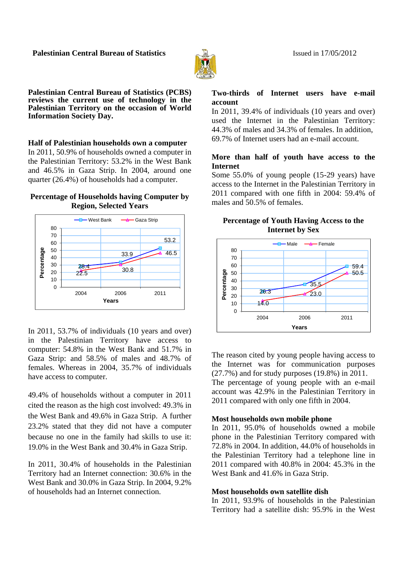

**Palestinian Central Bureau of Statistics (PCBS) reviews the current use of technology in the Palestinian Territory on the occasion of World Information Society Day.** 

**Half of Palestinian households own a computer**  In 2011, 50.9% of households owned a computer in the Palestinian Territory: 53.2% in the West Bank and 46.5% in Gaza Strip. In 2004, around one quarter (26.4%) of households had a computer.

#### **Percentage of Households having Computer by Region, Selected Years**



In 2011, 53.7% of individuals (10 years and over) in the Palestinian Territory have access to computer: 54.8% in the West Bank and 51.7% in Gaza Strip: and 58.5% of males and 48.7% of females. Whereas in 2004, 35.7% of individuals have access to computer.

49.4% of households without a computer in 2011 cited the reason as the high cost involved: 49.3% in the West Bank and 49.6% in Gaza Strip. A further 23.2% stated that they did not have a computer because no one in the family had skills to use it: 19.0% in the West Bank and 30.4% in Gaza Strip.

In 2011, 30.4% of households in the Palestinian Territory had an Internet connection: 30.6% in the West Bank and 30.0% in Gaza Strip. In 2004, 9.2% of households had an Internet connection.

## **Two-thirds of Internet users have e-mail account**

In 2011, 39.4% of individuals (10 years and over) used the Internet in the Palestinian Territory: 44.3% of males and 34.3% of females. In addition, 69.7% of Internet users had an e-mail account.

# **More than half of youth have access to the Internet**

Some 55.0% of young people (15-29 years) have access to the Internet in the Palestinian Territory in 2011 compared with one fifth in 2004: 59.4% of males and 50.5% of females.

#### **Percentage of Youth Having Access to the Internet by Sex**



The reason cited by young people having access to the Internet was for communication purposes (27.7%) and for study purposes (19.8%) in 2011. The percentage of young people with an e-mail account was 42.9% in the Palestinian Territory in 2011 compared with only one fifth in 2004.

## **Most households own mobile phone**

In 2011, 95.0% of households owned a mobile phone in the Palestinian Territory compared with 72.8% in 2004. In addition, 44.0% of households in the Palestinian Territory had a telephone line in 2011 compared with 40.8% in 2004: 45.3% in the West Bank and 41.6% in Gaza Strip.

## **Most households own satellite dish**

In 2011, 93.9% of households in the Palestinian Territory had a satellite dish: 95.9% in the West